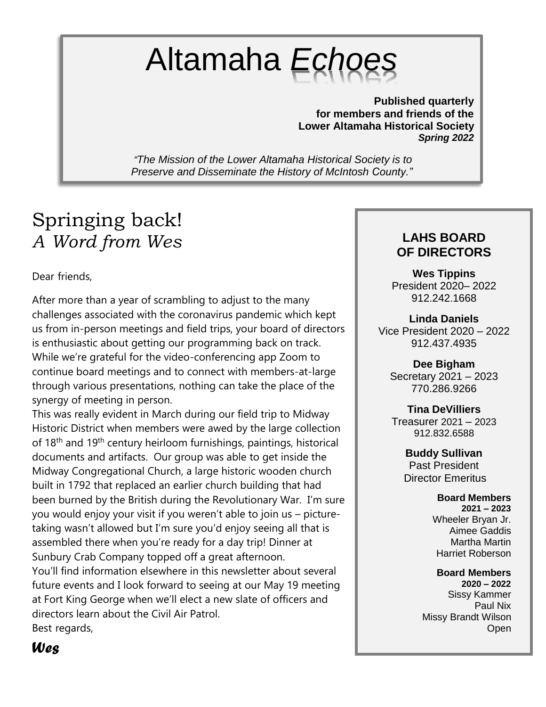# Altamaha *Echoes*

**Published quarterly for members and friends of the Lower Altamaha Historical Society** *Spring 2022* 

*"The Mission of the Lower Altamaha Historical Society is to Preserve and Disseminate the History of McIntosh County."*

# Springing back! *A Word from Wes*

Dear friends,

After more than a year of scrambling to adjust to the many challenges associated with the coronavirus pandemic which kept us from in-person meetings and field trips, your board of directors is enthusiastic about getting our programming back on track. While we're grateful for the video-conferencing app Zoom to continue board meetings and to connect with members-at-large through various presentations, nothing can take the place of the synergy of meeting in person.

This was really evident in March during our field trip to Midway Historic District when members were awed by the large collection of 18th and 19th century heirloom furnishings, paintings, historical documents and artifacts. Our group was able to get inside the Midway Congregational Church, a large historic wooden church built in 1792 that replaced an earlier church building that had been burned by the British during the Revolutionary War. I'm sure you would enjoy your visit if you weren't able to join us – picturetaking wasn't allowed but I'm sure you'd enjoy seeing all that is assembled there when you're ready for a day trip! Dinner at Sunbury Crab Company topped off a great afternoon. You'll find information elsewhere in this newsletter about several future events and I look forward to seeing at our May 19 meeting at Fort King George when we'll elect a new slate of officers and directors learn about the Civil Air Patrol. Best regards,

#### **LAHS BOARD OF DIRECTORS**

**Wes Tippins** President 2020– 2022 912.242.1668

**Linda Daniels** Vice President 2020 – 2022 912.437.4935

**Dee Bigham** Secretary 2021 – 2023 770.286.9266

**Tina DeVilliers** Treasurer 2021 – 2023 912.832.6588

> **Buddy Sullivan** Past President Director Emeritus

> > **Board Members 2021 – 2023** Wheeler Bryan Jr. Aimee Gaddis Martha Martin Harriet Roberson

**Board Members 2020 – 2022** Sissy Kammer Paul Nix Missy Brandt Wilson Open

*Wes*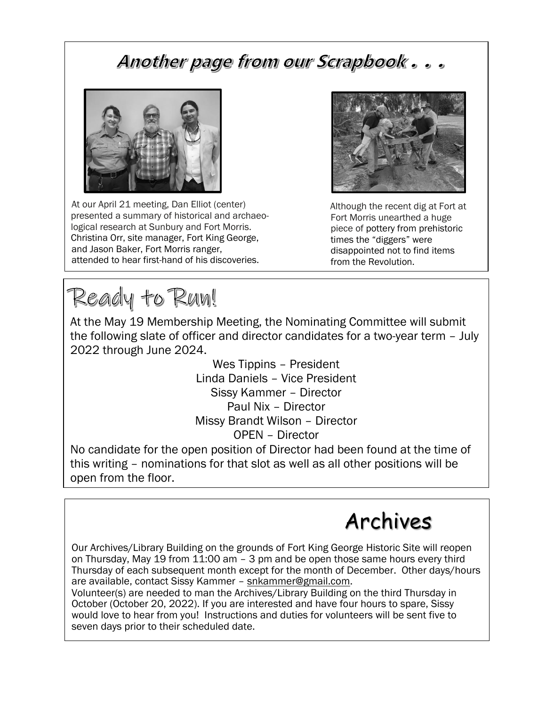## Another page from our Scrapbook...



At our April 21 meeting, Dan Elliot (center) presented a summary of historical and archaeological research at Sunbury and Fort Morris. Christina Orr, site manager, Fort King George, and Jason Baker, Fort Morris ranger, attended to hear first-hand of his discoveries.

Ready to Run!

At the May 19 Membership Meeting, the Nominating Committee will submit the following slate of officer and director candidates for a two-year term – July 2022 through June 2024.

> Wes Tippins – President Linda Daniels – Vice President Sissy Kammer – Director Paul Nix – Director Missy Brandt Wilson – Director OPEN – Director

No candidate for the open position of Director had been found at the time of this writing – nominations for that slot as well as all other positions will be open from the floor.

# Archives

Our Archives/Library Building on the grounds of Fort King George Historic Site will reopen on Thursday, May 19 from 11:00 am – 3 pm and be open those same hours every third Thursday of each subsequent month except for the month of December. Other days/hours are available, contact Sissy Kammer – [snkammer@gmail.com.](mailto:snkammer@gmail.com)

Volunteer(s) are needed to man the Archives/Library Building on the third Thursday in October (October 20, 2022). If you are interested and have four hours to spare, Sissy would love to hear from you! Instructions and duties for volunteers will be sent five to seven days prior to their scheduled date.



Although the recent dig at Fort at Fort Morris unearthed a huge piece of pottery from prehistoric times the "diggers" were disappointed not to find items from the Revolution.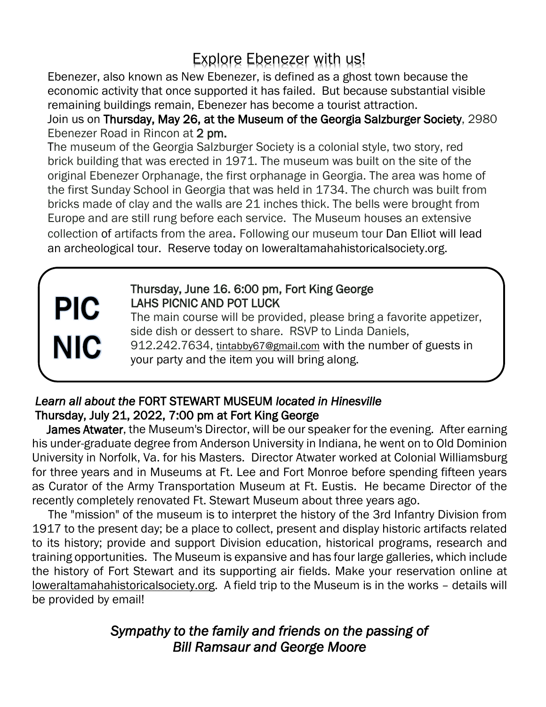## Explore Ebenezer with us!

 Ebenezer, also known as New Ebenezer, is defined as a ghost town because the economic activity that once supported it has failed. But because substantial visible remaining buildings remain, Ebenezer has become a tourist attraction.

 Join us on Thursday, May 26, at the Museum of the Georgia Salzburger Society, 2980 Ebenezer Road in Rincon at 2 pm.

 The museum of the Georgia Salzburger Society is a colonial style, two story, red brick building that was erected in 1971. The museum was built on the site of the original Ebenezer Orphanage, the first orphanage in Georgia. The area was home of the first Sunday School in Georgia that was held in 1734. The church was built from bricks made of clay and the walls are 21 inches thick. The bells were brought from Europe and are still rung before each service. The Museum houses an extensive collection of artifacts from the area. Following our museum tour Dan Elliot will lead an archeological tour. Reserve today on loweraltamahahistoricalsociety.org.

# **PIC NIC**

#### Thursday, June 16. 6:00 pm, Fort King George LAHS PICNIC AND POT LUCK

 The main course will be provided, please bring a favorite appetizer, side dish or dessert to share. RSVP to Linda Daniels, 912.242.7634, [tintabby67@gmail.com](mailto:tintabby67@gmail.com) with the number of guests in your party and the item you will bring along.

#### *Learn all about the* FORT STEWART MUSEUM *located in Hinesville*  Thursday, July 21, 2022, 7:00 pm at Fort King George

James Atwater, the Museum's Director, will be our speaker for the evening. After earning his under-graduate degree from Anderson University in Indiana, he went on to Old Dominion University in Norfolk, Va. for his Masters. Director Atwater worked at Colonial Williamsburg for three years and in Museums at Ft. Lee and Fort Monroe before spending fifteen years as Curator of the Army Transportation Museum at Ft. Eustis. He became Director of the recently completely renovated Ft. Stewart Museum about three years ago.

The "mission" of the museum is to interpret the history of the 3rd Infantry Division from 1917 to the present day; be a place to collect, present and display historic artifacts related to its history; provide and support Division education, historical programs, research and training opportunities. The Museum is expansive and has four large galleries, which include the history of Fort Stewart and its supporting air fields. Make your reservation online at loweraltamahahistoricalsociety.org. A field trip to the Museum is in the works – details will be provided by email!

#### *Sympathy to the family and friends on the passing of Bill Ramsaur and George Moore*